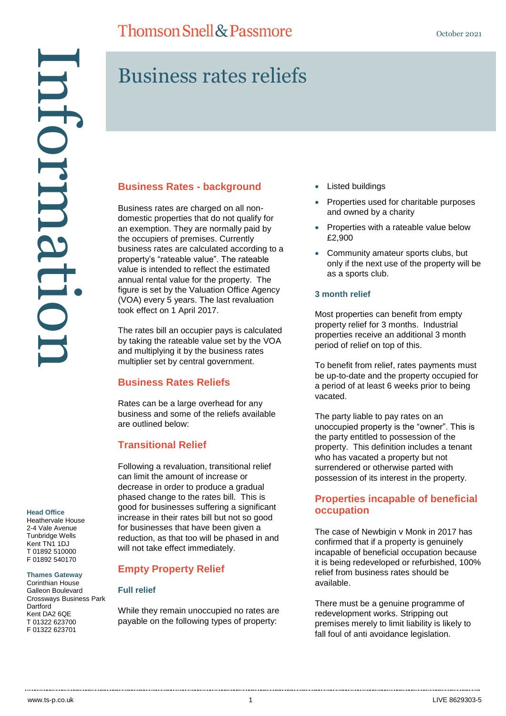Business rates reliefs

# Head Office<br>Head Office<br>2-4 Vale Avenue<br>2-4 Vale Avenue<br>2-4 Vale Avenue<br>2-4 Vale Avenue<br>2-1 Of 01392 540170<br>5 01392 540170<br>Corinthian House<br>Crossways Busine<br>2012 022 623700<br>7 01322 623700 mformatu

# **Business Rates - background**

Business rates are charged on all nondomestic properties that do not qualify for an exemption. They are normally paid by the occupiers of premises. Currently business rates are calculated according to a property's "rateable value". The rateable value is intended to reflect the estimated annual rental value for the property. The figure is set by the Valuation Office Agency (VOA) every 5 years. The last revaluation took effect on 1 April 2017.

The rates bill an occupier pays is calculated by taking the rateable value set by the VOA and multiplying it by the business rates multiplier set by central government.

### **Business Rates Reliefs**

Rates can be a large overhead for any business and some of the reliefs available are outlined below:

### **Transitional Relief**

Following a revaluation, transitional relief can limit the amount of increase or decrease in order to produce a gradual phased change to the rates bill. This is good for businesses suffering a significant increase in their rates bill but not so good for businesses that have been given a reduction, as that too will be phased in and will not take effect immediately.

### **Empty Property Relief**

### **Full relief**

While they remain unoccupied no rates are payable on the following types of property:

- Listed buildings
- Properties used for charitable purposes and owned by a charity
- Properties with a rateable value below £2,900
- Community amateur sports clubs, but only if the next use of the property will be as a sports club.

### **3 month relief**

Most properties can benefit from empty property relief for 3 months. Industrial properties receive an additional 3 month period of relief on top of this.

To benefit from relief, rates payments must be up-to-date and the property occupied for a period of at least 6 weeks prior to being vacated.

The party liable to pay rates on an unoccupied property is the "owner". This is the party entitled to possession of the property. This definition includes a tenant who has vacated a property but not surrendered or otherwise parted with possession of its interest in the property.

### **Properties incapable of beneficial occupation**

The case of Newbigin v Monk in 2017 has confirmed that if a property is genuinely incapable of beneficial occupation because it is being redeveloped or refurbished, 100% relief from business rates should be available.

There must be a genuine programme of redevelopment works. Stripping out premises merely to limit liability is likely to fall foul of anti avoidance legislation.

### **Head Office**

Heathervale House 2-4 Vale Avenue Tunbridge Wells Kent TN1 1DJ T 01892 510000 F 01892 540170

### **Thames Gateway**

Corinthian House Galleon Boulevard Crossways Business Park **Dartford** Kent DA2 6QE T 01322 623700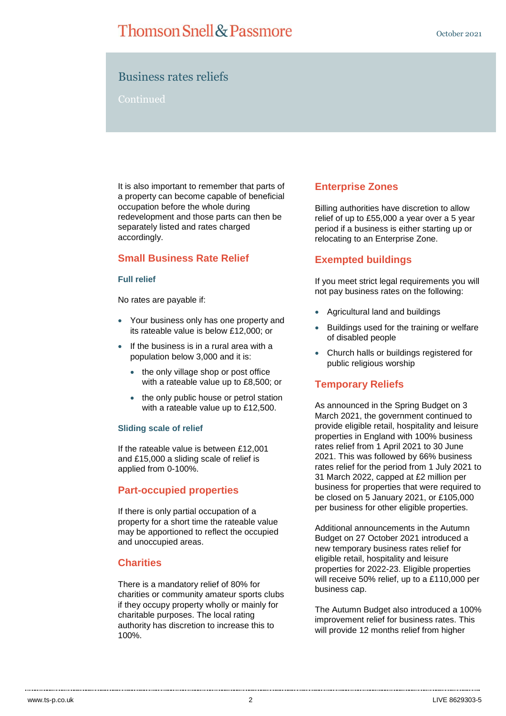# **Thomson Snell & Passmore**

### Business rates reliefs

### Continued

It is also important to remember that parts of a property can become capable of beneficial occupation before the whole during redevelopment and those parts can then be separately listed and rates charged accordingly.

### **Small Business Rate Relief**

### **Full relief**

No rates are payable if:

- Your business only has one property and its rateable value is below £12,000; or
- $\bullet$  If the business is in a rural area with a population below 3,000 and it is:
	- the only village shop or post office with a rateable value up to £8,500; or
	- the only public house or petrol station with a rateable value up to £12,500.

### **Sliding scale of relief**

If the rateable value is between £12,001 and £15,000 a sliding scale of relief is applied from 0-100%.

### **Part-occupied properties**

If there is only partial occupation of a property for a short time the rateable value may be apportioned to reflect the occupied and unoccupied areas.

### **Charities**

There is a mandatory relief of 80% for charities or community amateur sports clubs if they occupy property wholly or mainly for charitable purposes. The local rating authority has discretion to increase this to 100%.

### **Enterprise Zones**

Billing authorities have discretion to allow relief of up to £55,000 a year over a 5 year period if a business is either starting up or relocating to an Enterprise Zone.

### **Exempted buildings**

If you meet strict legal requirements you will not pay business rates on the following:

- Agricultural land and buildings
- Buildings used for the training or welfare of disabled people
- Church halls or buildings registered for public religious worship

### **Temporary Reliefs**

As announced in the Spring Budget on 3 March 2021, the government continued to provide eligible retail, hospitality and leisure properties in England with 100% business rates relief from 1 April 2021 to 30 June 2021. This was followed by 66% business rates relief for the period from 1 July 2021 to 31 March 2022, capped at £2 million per business for properties that were required to be closed on 5 January 2021, or £105,000 per business for other eligible properties.

Additional announcements in the Autumn Budget on 27 October 2021 introduced a new temporary business rates relief for eligible retail, hospitality and leisure properties for 2022-23. Eligible properties will receive 50% relief, up to a £110,000 per business cap.

The Autumn Budget also introduced a 100% improvement relief for business rates. This will provide 12 months relief from higher